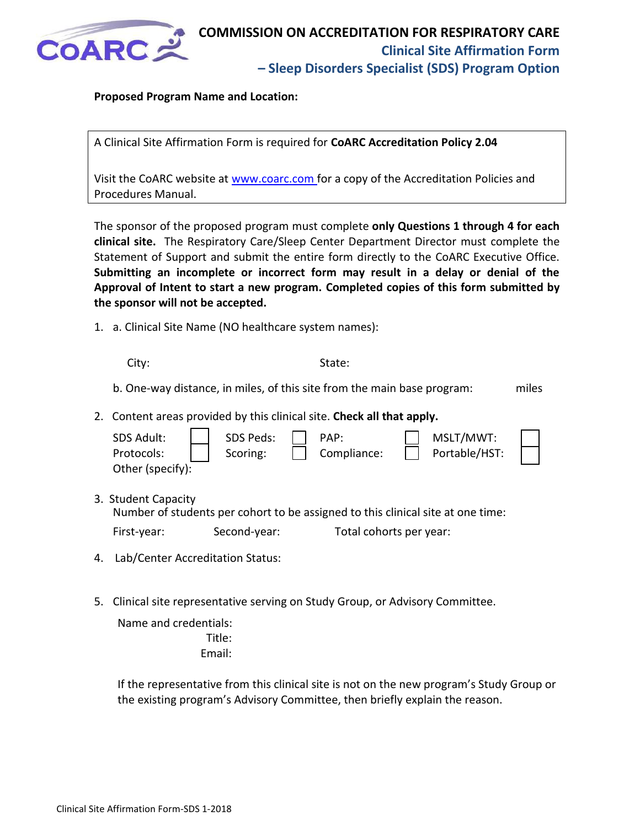

## **Proposed Program Name and Location:**

A Clinical Site Affirmation Form is required for **CoARC Accreditation Policy 2.04** 

Visit the CoARC website at [www.coarc.com](https://www.coarc.com/Accreditation/Forms-and-Reporting/Website-Policies/CoARC-web-Site-Policies-6-10-pdf.aspx) for a copy of the Accreditation Policies and Procedures Manual.

The sponsor of the proposed program must complete **only Questions 1 through 4 for each clinical site.** The Respiratory Care/Sleep Center Department Director must complete the Statement of Support and submit the entire form directly to the CoARC Executive Office. **Submitting an incomplete or incorrect form may result in a delay or denial of the Approval of Intent to start a new program. Completed copies of this form submitted by the sponsor will not be accepted.**

1. a. Clinical Site Name (NO healthcare system names):

 $3<sub>l</sub>$ 

City: State: State: State: State: State: State: State: State: State: State: State: State: State: State: State: State: State: State: State: State: State: State: State: State: State: State: State: State: State: State: State:

b. One-way distance, in miles, of this site from the main base program: miles

2. Content areas provided by this clinical site. **Check all that apply.**

| SDS Adult:<br>Protocols:<br>Other (specify): | SDS Peds:<br>Scoring: | PAP:<br>Compliance: | MSLT/MWT:<br>Portable/HST: |  |
|----------------------------------------------|-----------------------|---------------------|----------------------------|--|
| <b>Student Capacity</b>                      |                       |                     |                            |  |

Number of students per cohort to be assigned to this clinical site at one time:

| First-year: | Second-year: | Total cohorts per year: |
|-------------|--------------|-------------------------|
|-------------|--------------|-------------------------|

- 4. Lab/Center Accreditation Status:
- 5. Clinical site representative serving on Study Group, or Advisory Committee.

Name and credentials: Title: Email:

If the representative from this clinical site is not on the new program's Study Group or the existing program's Advisory Committee, then briefly explain the reason.